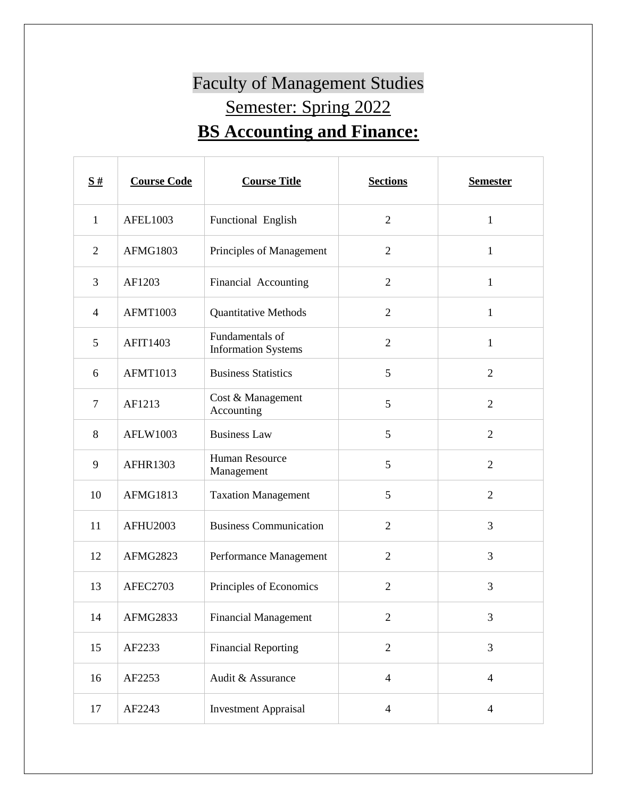## Faculty of Management Studies Semester: Spring 2022 **BS Accounting and Finance:**

| S#             | <b>Course Code</b> | <b>Course Title</b>                           | <b>Sections</b> | <b>Semester</b> |
|----------------|--------------------|-----------------------------------------------|-----------------|-----------------|
| $\mathbf{1}$   | <b>AFEL1003</b>    | Functional English                            | $\overline{2}$  | $\mathbf{1}$    |
| $\overline{2}$ | <b>AFMG1803</b>    | Principles of Management                      | $\mathfrak{2}$  | $\mathbf{1}$    |
| 3              | AF1203             | Financial Accounting                          | $\overline{2}$  | $\mathbf{1}$    |
| $\overline{4}$ | <b>AFMT1003</b>    | <b>Quantitative Methods</b>                   | $\overline{2}$  | $\mathbf{1}$    |
| 5              | <b>AFIT1403</b>    | Fundamentals of<br><b>Information Systems</b> | $\overline{2}$  | $\mathbf{1}$    |
| 6              | <b>AFMT1013</b>    | <b>Business Statistics</b>                    | 5               | $\overline{2}$  |
| $\overline{7}$ | AF1213             | Cost & Management<br>Accounting               | 5               | $\overline{2}$  |
| 8              | <b>AFLW1003</b>    | <b>Business Law</b>                           | 5               | $\overline{2}$  |
| 9              | <b>AFHR1303</b>    | Human Resource<br>Management                  | 5               | $\overline{2}$  |
| 10             | <b>AFMG1813</b>    | <b>Taxation Management</b>                    | 5               | $\overline{2}$  |
| 11             | <b>AFHU2003</b>    | <b>Business Communication</b>                 | $\overline{2}$  | 3               |
| 12             | AFMG2823           | Performance Management                        | $\overline{2}$  | 3               |
| 13             | AFEC2703           | Principles of Economics                       | $\overline{2}$  | 3               |
| 14             | AFMG2833           | <b>Financial Management</b>                   | $\overline{c}$  | 3               |
| 15             | AF2233             | <b>Financial Reporting</b>                    | $\overline{2}$  | 3               |
| 16             | AF2253             | Audit & Assurance                             | $\overline{4}$  | $\overline{4}$  |
| 17             | AF2243             | <b>Investment Appraisal</b>                   | $\overline{4}$  | $\overline{4}$  |